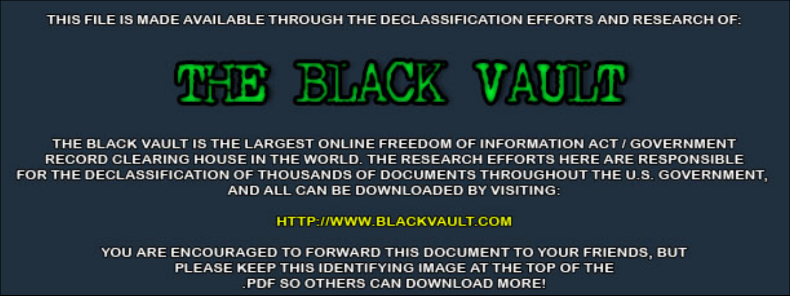THIS FILE IS MADE AVAILABLE THROUGH THE DECLASSIFICATION EFFORTS AND RESEARCH OF:



THE BLACK VAULT IS THE LARGEST ONLINE FREEDOM OF INFORMATION ACT / GOVERNMENT RECORD CLEARING HOUSE IN THE WORLD. THE RESEARCH EFFORTS HERE ARE RESPONSIBLE FOR THE DECLASSIFICATION OF THOUSANDS OF DOCUMENTS THROUGHOUT THE U.S. GOVERNMENT, AND ALL CAN BE DOWNLOADED BY VISITING:

**HTTP://WWW.BLACKVAULT.COM** 

YOU ARE ENCOURAGED TO FORWARD THIS DOCUMENT TO YOUR FRIENDS, BUT PLEASE KEEP THIS IDENTIFYING IMAGE AT THE TOP OF THE PDF SO OTHERS CAN DOWNLOAD MORE!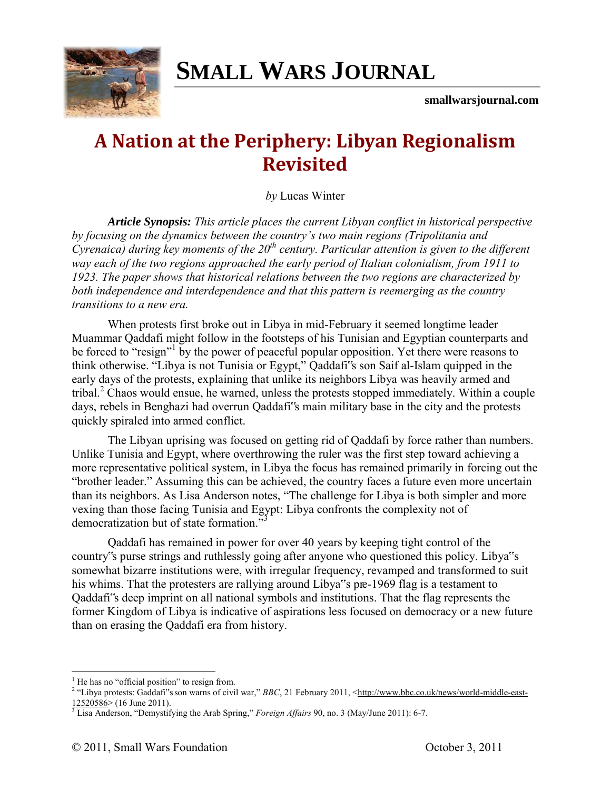

# **SMALL WARS JOURNAL**

**smallwarsjournal.com**

# **A Nation at the Periphery: Libyan Regionalism Revisited**

*by* Lucas Winter

 *Article Synopsis: This article places the current Libyan conflict in historical perspective by focusing on the dynamics between the country's two main regions (Tripolitania and Cyrenaica) during key moments of the 20th century. Particular attention is given to the different way each of the two regions approached the early period of Italian colonialism, from 1911 to 1923. The paper shows that historical relations between the two regions are characterized by both independence and interdependence and that this pattern is reemerging as the country transitions to a new era.* 

When protests first broke out in Libya in mid-February it seemed longtime leader Muammar Qaddafi might follow in the footsteps of his Tunisian and Egyptian counterparts and be forced to "resign"<sup>1</sup> by the power of peaceful popular opposition. Yet there were reasons to think otherwise. "Libya is not Tunisia or Egypt," Qaddafi"s son Saif al-Islam quipped in the early days of the protests, explaining that unlike its neighbors Libya was heavily armed and tribal.<sup>2</sup> Chaos would ensue, he warned, unless the protests stopped immediately. Within a couple days, rebels in Benghazi had overrun Qaddafi"s main military base in the city and the protests quickly spiraled into armed conflict.

The Libyan uprising was focused on getting rid of Qaddafi by force rather than numbers. Unlike Tunisia and Egypt, where overthrowing the ruler was the first step toward achieving a more representative political system, in Libya the focus has remained primarily in forcing out the "brother leader." Assuming this can be achieved, the country faces a future even more uncertain than its neighbors. As Lisa Anderson notes, "The challenge for Libya is both simpler and more vexing than those facing Tunisia and Egypt: Libya confronts the complexity not of democratization but of state formation."

Qaddafi has remained in power for over 40 years by keeping tight control of the country"s purse strings and ruthlessly going after anyone who questioned this policy. Libya"s somewhat bizarre institutions were, with irregular frequency, revamped and transformed to suit his whims. That the protesters are rallying around Libya"s pre-1969 flag is a testament to Qaddafi"s deep imprint on all national symbols and institutions. That the flag represents the former Kingdom of Libya is indicative of aspirations less focused on democracy or a new future than on erasing the Qaddafi era from history.

<sup>&</sup>lt;sup>1</sup> He has no "official position" to resign from.

<sup>&</sup>lt;sup>2</sup> "Libya protests: Gaddafi"s son warns of civil war," *BBC*, 21 February 2011, <**http://www.bbc.co.uk/news/world-middle-east-** $12520586$  > (16 June 2011).

<sup>3</sup> Lisa Anderson, "Demystifying the Arab Spring," *Foreign Affairs* 90, no. 3 (May/June 2011): 6-7.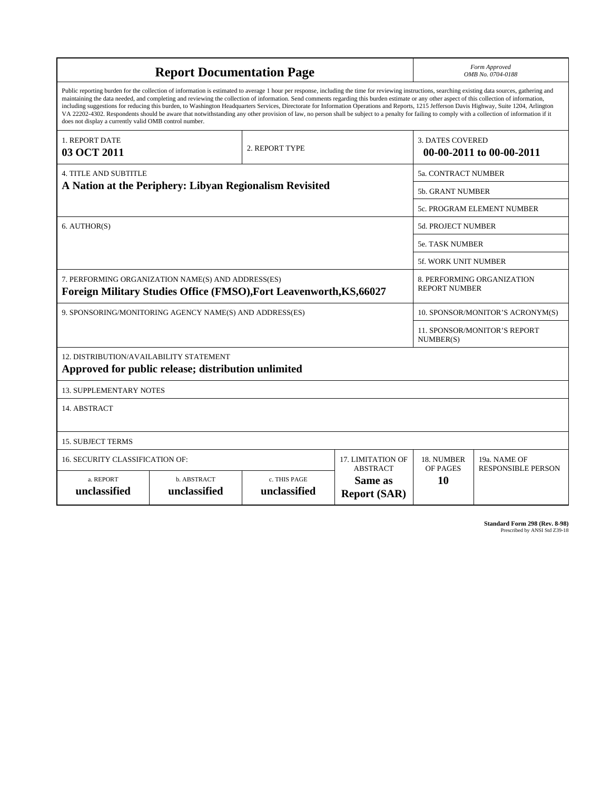| <b>Report Documentation Page</b>                                                                                                                                                                                                                                                                                                                                                                                                                                                                                                                                                                                                                                                                                                                                                                                                                                   |                             |                              |                                | Form Approved<br>OMB No. 0704-0188                  |                                           |
|--------------------------------------------------------------------------------------------------------------------------------------------------------------------------------------------------------------------------------------------------------------------------------------------------------------------------------------------------------------------------------------------------------------------------------------------------------------------------------------------------------------------------------------------------------------------------------------------------------------------------------------------------------------------------------------------------------------------------------------------------------------------------------------------------------------------------------------------------------------------|-----------------------------|------------------------------|--------------------------------|-----------------------------------------------------|-------------------------------------------|
| Public reporting burden for the collection of information is estimated to average 1 hour per response, including the time for reviewing instructions, searching existing data sources, gathering and<br>maintaining the data needed, and completing and reviewing the collection of information. Send comments regarding this burden estimate or any other aspect of this collection of information,<br>including suggestions for reducing this burden, to Washington Headquarters Services, Directorate for Information Operations and Reports, 1215 Jefferson Davis Highway, Suite 1204, Arlington<br>VA 22202-4302. Respondents should be aware that notwithstanding any other provision of law, no person shall be subject to a penalty for failing to comply with a collection of information if it<br>does not display a currently valid OMB control number. |                             |                              |                                |                                                     |                                           |
| 1. REPORT DATE<br>03 OCT 2011                                                                                                                                                                                                                                                                                                                                                                                                                                                                                                                                                                                                                                                                                                                                                                                                                                      | 2. REPORT TYPE              |                              |                                | <b>3. DATES COVERED</b><br>00-00-2011 to 00-00-2011 |                                           |
| <b>4. TITLE AND SUBTITLE</b>                                                                                                                                                                                                                                                                                                                                                                                                                                                                                                                                                                                                                                                                                                                                                                                                                                       |                             |                              |                                | <b>5a. CONTRACT NUMBER</b>                          |                                           |
| A Nation at the Periphery: Libyan Regionalism Revisited                                                                                                                                                                                                                                                                                                                                                                                                                                                                                                                                                                                                                                                                                                                                                                                                            |                             |                              |                                | <b>5b. GRANT NUMBER</b>                             |                                           |
|                                                                                                                                                                                                                                                                                                                                                                                                                                                                                                                                                                                                                                                                                                                                                                                                                                                                    |                             |                              |                                | 5c. PROGRAM ELEMENT NUMBER                          |                                           |
| 6. AUTHOR(S)                                                                                                                                                                                                                                                                                                                                                                                                                                                                                                                                                                                                                                                                                                                                                                                                                                                       |                             |                              |                                | <b>5d. PROJECT NUMBER</b>                           |                                           |
|                                                                                                                                                                                                                                                                                                                                                                                                                                                                                                                                                                                                                                                                                                                                                                                                                                                                    |                             |                              |                                | <b>5e. TASK NUMBER</b>                              |                                           |
|                                                                                                                                                                                                                                                                                                                                                                                                                                                                                                                                                                                                                                                                                                                                                                                                                                                                    |                             |                              |                                | 5f. WORK UNIT NUMBER                                |                                           |
| 7. PERFORMING ORGANIZATION NAME(S) AND ADDRESS(ES)<br>Foreign Military Studies Office (FMSO), Fort Leavenworth, KS, 66027                                                                                                                                                                                                                                                                                                                                                                                                                                                                                                                                                                                                                                                                                                                                          |                             |                              |                                | 8. PERFORMING ORGANIZATION<br><b>REPORT NUMBER</b>  |                                           |
| 9. SPONSORING/MONITORING AGENCY NAME(S) AND ADDRESS(ES)                                                                                                                                                                                                                                                                                                                                                                                                                                                                                                                                                                                                                                                                                                                                                                                                            |                             |                              |                                | 10. SPONSOR/MONITOR'S ACRONYM(S)                    |                                           |
|                                                                                                                                                                                                                                                                                                                                                                                                                                                                                                                                                                                                                                                                                                                                                                                                                                                                    |                             |                              |                                | 11. SPONSOR/MONITOR'S REPORT<br>NUMBER(S)           |                                           |
| 12. DISTRIBUTION/AVAILABILITY STATEMENT<br>Approved for public release; distribution unlimited                                                                                                                                                                                                                                                                                                                                                                                                                                                                                                                                                                                                                                                                                                                                                                     |                             |                              |                                |                                                     |                                           |
| <b>13. SUPPLEMENTARY NOTES</b>                                                                                                                                                                                                                                                                                                                                                                                                                                                                                                                                                                                                                                                                                                                                                                                                                                     |                             |                              |                                |                                                     |                                           |
| 14. ABSTRACT                                                                                                                                                                                                                                                                                                                                                                                                                                                                                                                                                                                                                                                                                                                                                                                                                                                       |                             |                              |                                |                                                     |                                           |
| <b>15. SUBJECT TERMS</b>                                                                                                                                                                                                                                                                                                                                                                                                                                                                                                                                                                                                                                                                                                                                                                                                                                           |                             |                              |                                |                                                     |                                           |
| 16. SECURITY CLASSIFICATION OF:<br><b>17. LIMITATION OF</b><br><b>ABSTRACT</b>                                                                                                                                                                                                                                                                                                                                                                                                                                                                                                                                                                                                                                                                                                                                                                                     |                             |                              |                                | 18. NUMBER<br>OF PAGES                              | 19a. NAME OF<br><b>RESPONSIBLE PERSON</b> |
| a. REPORT<br>unclassified                                                                                                                                                                                                                                                                                                                                                                                                                                                                                                                                                                                                                                                                                                                                                                                                                                          | b. ABSTRACT<br>unclassified | c. THIS PAGE<br>unclassified | Same as<br><b>Report (SAR)</b> | 10                                                  |                                           |

**Standard Form 298 (Rev. 8-98)**<br>Prescribed by ANSI Std Z39-18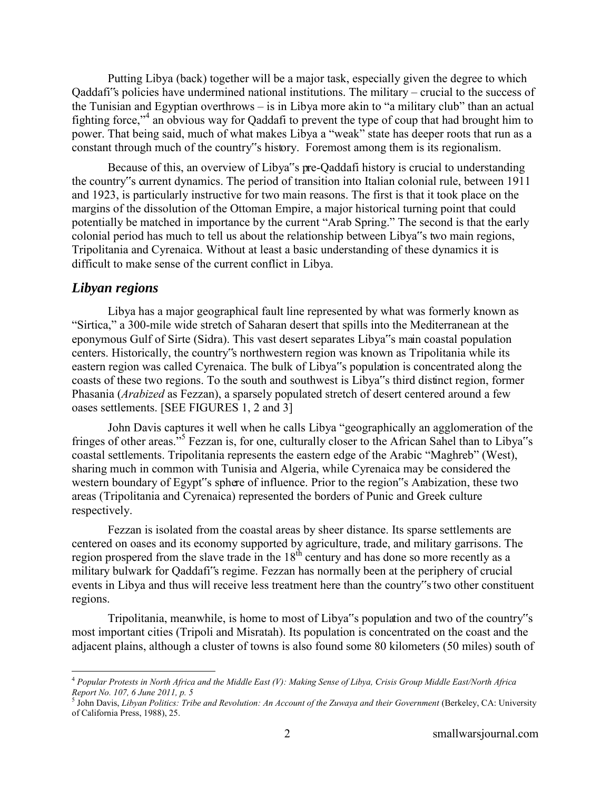Putting Libya (back) together will be a major task, especially given the degree to which Qaddafi"s policies have undermined national institutions. The military – crucial to the success of the Tunisian and Egyptian overthrows – is in Libya more akin to "a military club" than an actual fighting force,"<sup>4</sup> an obvious way for Qaddafi to prevent the type of coup that had brought him to power. That being said, much of what makes Libya a "weak" state has deeper roots that run as a constant through much of the country"s history. Foremost among them is its regionalism.

Because of this, an overview of Libya"s pre-Qaddafi history is crucial to understanding the country"s current dynamics. The period of transition into Italian colonial rule, between 1911 and 1923, is particularly instructive for two main reasons. The first is that it took place on the margins of the dissolution of the Ottoman Empire, a major historical turning point that could potentially be matched in importance by the current "Arab Spring." The second is that the early colonial period has much to tell us about the relationship between Libya"s two main regions, Tripolitania and Cyrenaica. Without at least a basic understanding of these dynamics it is difficult to make sense of the current conflict in Libya.

#### *Libyan regions*

 $\overline{a}$ 

Libya has a major geographical fault line represented by what was formerly known as "Sirtica," a 300-mile wide stretch of Saharan desert that spills into the Mediterranean at the eponymous Gulf of Sirte (Sidra). This vast desert separates Libya"s main coastal population centers. Historically, the country"s northwestern region was known as Tripolitania while its eastern region was called Cyrenaica. The bulk of Libya"s population is concentrated along the coasts of these two regions. To the south and southwest is Libya"s third distinct region, former Phasania (*Arabized* as Fezzan), a sparsely populated stretch of desert centered around a few oases settlements. [SEE FIGURES 1, 2 and 3]

John Davis captures it well when he calls Libya "geographically an agglomeration of the fringes of other areas."<sup>5</sup> Fezzan is, for one, culturally closer to the African Sahel than to Libya"s coastal settlements. Tripolitania represents the eastern edge of the Arabic "Maghreb" (West), sharing much in common with Tunisia and Algeria, while Cyrenaica may be considered the western boundary of Egypt"s sphere of influence. Prior to the region"s Arabization, these two areas (Tripolitania and Cyrenaica) represented the borders of Punic and Greek culture respectively.

Fezzan is isolated from the coastal areas by sheer distance. Its sparse settlements are centered on oases and its economy supported by agriculture, trade, and military garrisons. The region prospered from the slave trade in the  $18<sup>th</sup>$  century and has done so more recently as a military bulwark for Qaddafi"s regime. Fezzan has normally been at the periphery of crucial events in Libya and thus will receive less treatment here than the country"s two other constituent regions.

Tripolitania, meanwhile, is home to most of Libya"s population and two of the country"s most important cities (Tripoli and Misratah). Its population is concentrated on the coast and the adjacent plains, although a cluster of towns is also found some 80 kilometers (50 miles) south of

<sup>4</sup> *Popular Protests in North Africa and the Middle East (V): Making Sense of Libya, Crisis Group Middle East/North Africa Report No. 107, 6 June 2011, p. 5*  5 John Davis, *Libyan Politics: Tribe and Revolution: An Account of the Zuwaya and their Government* (Berkeley, CA: University

of California Press, 1988), 25.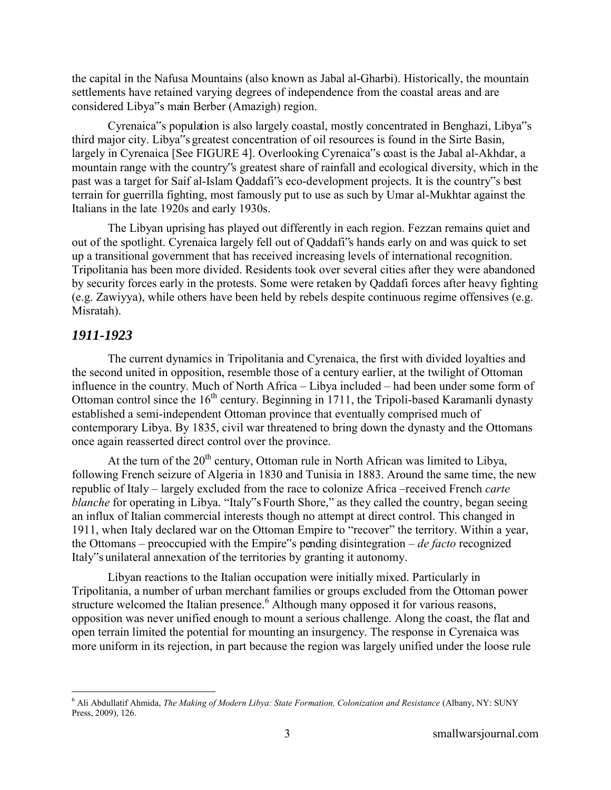the capital in the Nafusa Mountains (also known as Jabal al-Gharbi). Historically, the mountain settlements have retained varying degrees of independence from the coastal areas and are considered Libya"s main Berber (Amazigh) region.

Cyrenaica"s population is also largely coastal, mostly concentrated in Benghazi, Libya"s third major city. Libya"s greatest concentration of oil resources is found in the Sirte Basin, largely in Cyrenaica [See FIGURE 4]. Overlooking Cyrenaica"s coast is the Jabal al-Akhdar, a mountain range with the country"s greatest share of rainfall and ecological diversity, which in the past was a target for Saif al-Islam Qaddafi"s eco-development projects. It is the country"s best terrain for guerrilla fighting, most famously put to use as such by Umar al-Mukhtar against the Italians in the late 1920s and early 1930s.

The Libyan uprising has played out differently in each region. Fezzan remains quiet and out of the spotlight. Cyrenaica largely fell out of Qaddafi"s hands early on and was quick to set up a transitional government that has received increasing levels of international recognition. Tripolitania has been more divided. Residents took over several cities after they were abandoned by security forces early in the protests. Some were retaken by Qaddafi forces after heavy fighting (e.g. Zawiyya), while others have been held by rebels despite continuous regime offensives (e.g. Misratah).

#### *1911-1923*

 $\overline{a}$ 

The current dynamics in Tripolitania and Cyrenaica, the first with divided loyalties and the second united in opposition, resemble those of a century earlier, at the twilight of Ottoman influence in the country. Much of North Africa – Libya included – had been under some form of Ottoman control since the  $16<sup>th</sup>$  century. Beginning in 1711, the Tripoli-based Karamanli dynasty established a semi-independent Ottoman province that eventually comprised much of contemporary Libya. By 1835, civil war threatened to bring down the dynasty and the Ottomans once again reasserted direct control over the province.

At the turn of the  $20<sup>th</sup>$  century, Ottoman rule in North African was limited to Libya, following French seizure of Algeria in 1830 and Tunisia in 1883. Around the same time, the new republic of Italy – largely excluded from the race to colonize Africa –received French *carte blanche* for operating in Libya. "Italy"s Fourth Shore," as they called the country, began seeing an influx of Italian commercial interests though no attempt at direct control. This changed in 1911, when Italy declared war on the Ottoman Empire to "recover" the territory. Within a year, the Ottomans – preoccupied with the Empire"s pending disintegration – *de facto* recognized Italy"s unilateral annexation of the territories by granting it autonomy.

Libyan reactions to the Italian occupation were initially mixed. Particularly in Tripolitania, a number of urban merchant families or groups excluded from the Ottoman power structure welcomed the Italian presence.<sup>6</sup> Although many opposed it for various reasons, opposition was never unified enough to mount a serious challenge. Along the coast, the flat and open terrain limited the potential for mounting an insurgency. The response in Cyrenaica was more uniform in its rejection, in part because the region was largely unified under the loose rule

<sup>&</sup>lt;sup>6</sup> Ali Abdullatif Ahmida, *The Making of Modern Libya: State Formation, Colonization and Resistance* (Albany, NY: SUNY Press, 2009), 126.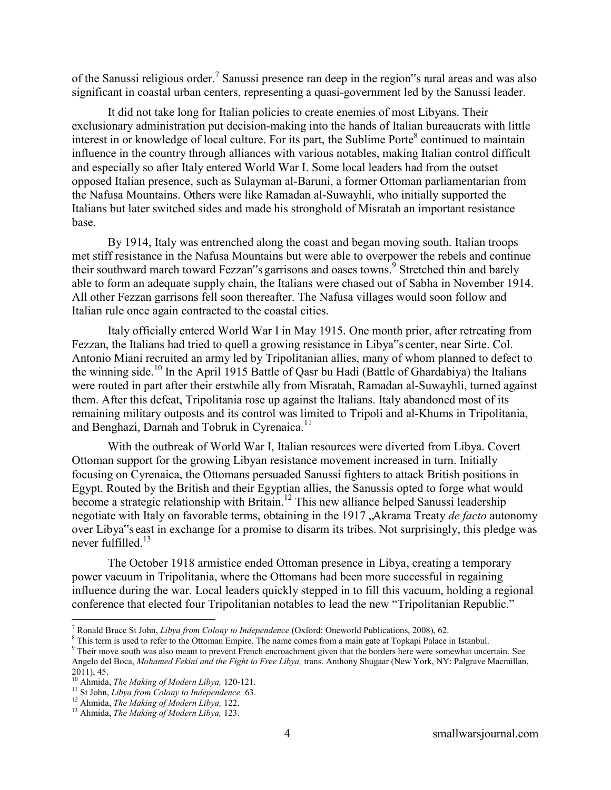of the Sanussi religious order.<sup>7</sup> Sanussi presence ran deep in the region sural areas and was also significant in coastal urban centers, representing a quasi-government led by the Sanussi leader.

It did not take long for Italian policies to create enemies of most Libyans. Their exclusionary administration put decision-making into the hands of Italian bureaucrats with little interest in or knowledge of local culture. For its part, the Sublime Porte<sup>8</sup> continued to maintain influence in the country through alliances with various notables, making Italian control difficult and especially so after Italy entered World War I. Some local leaders had from the outset opposed Italian presence, such as Sulayman al-Baruni, a former Ottoman parliamentarian from the Nafusa Mountains. Others were like Ramadan al-Suwayhli, who initially supported the Italians but later switched sides and made his stronghold of Misratah an important resistance base.

By 1914, Italy was entrenched along the coast and began moving south. Italian troops met stiff resistance in the Nafusa Mountains but were able to overpower the rebels and continue their southward march toward Fezzan"s garrisons and oases towns.<sup>9</sup> Stretched thin and barely able to form an adequate supply chain, the Italians were chased out of Sabha in November 1914. All other Fezzan garrisons fell soon thereafter. The Nafusa villages would soon follow and Italian rule once again contracted to the coastal cities.

Italy officially entered World War I in May 1915. One month prior, after retreating from Fezzan, the Italians had tried to quell a growing resistance in Libya"s center, near Sirte. Col. Antonio Miani recruited an army led by Tripolitanian allies, many of whom planned to defect to the winning side.<sup>10</sup> In the April 1915 Battle of Qasr bu Hadi (Battle of Ghardabiya) the Italians were routed in part after their erstwhile ally from Misratah, Ramadan al-Suwayhli, turned against them. After this defeat, Tripolitania rose up against the Italians. Italy abandoned most of its remaining military outposts and its control was limited to Tripoli and al-Khums in Tripolitania, and Benghazi, Darnah and Tobruk in Cyrenaica.<sup>11</sup>

With the outbreak of World War I, Italian resources were diverted from Libya. Covert Ottoman support for the growing Libyan resistance movement increased in turn. Initially focusing on Cyrenaica, the Ottomans persuaded Sanussi fighters to attack British positions in Egypt. Routed by the British and their Egyptian allies, the Sanussis opted to forge what would become a strategic relationship with Britain.<sup>12</sup> This new alliance helped Sanussi leadership negotiate with Italy on favorable terms, obtaining in the 1917, Akrama Treaty *de facto* autonomy over Libya"s east in exchange for a promise to disarm its tribes. Not surprisingly, this pledge was never fulfilled.<sup>13</sup> 

The October 1918 armistice ended Ottoman presence in Libya, creating a temporary power vacuum in Tripolitania, where the Ottomans had been more successful in regaining influence during the war. Local leaders quickly stepped in to fill this vacuum, holding a regional conference that elected four Tripolitanian notables to lead the new "Tripolitanian Republic."

<sup>7</sup> Ronald Bruce St John, *Libya from Colony to Independence* (Oxford: Oneworld Publications, 2008), 62.

<sup>&</sup>lt;sup>8</sup> This term is used to refer to the Ottoman Empire. The name comes from a main gate at Topkapi Palace in Istanbul.

<sup>&</sup>lt;sup>9</sup> Their move south was also meant to prevent French encroachment given that the borders here were somewhat uncertain. See Angelo del Boca, *Mohamed Fekini and the Fight to Free Libya,* trans. Anthony Shugaar (New York, NY: Palgrave Macmillan, 2011), 45.

<sup>10</sup> Ahmida, *The Making of Modern Libya,* 120-121.

<sup>11</sup> St John, *Libya from Colony to Independence,* 63.

<sup>12</sup> Ahmida, *The Making of Modern Libya,* 122.

<sup>13</sup> Ahmida, *The Making of Modern Libya,* 123.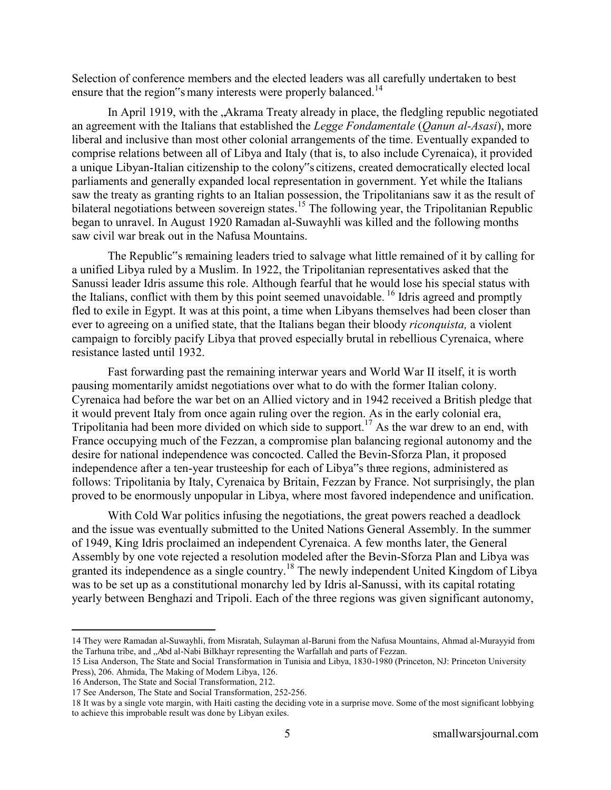Selection of conference members and the elected leaders was all carefully undertaken to best ensure that the region"s many interests were properly balanced.<sup>14</sup>

In April 1919, with the , Akrama Treaty already in place, the fledgling republic negotiated an agreement with the Italians that established the *Legge Fondamentale* (*Qanun al-Asasi*), more liberal and inclusive than most other colonial arrangements of the time. Eventually expanded to comprise relations between all of Libya and Italy (that is, to also include Cyrenaica), it provided a unique Libyan-Italian citizenship to the colony"s citizens, created democratically elected local parliaments and generally expanded local representation in government. Yet while the Italians saw the treaty as granting rights to an Italian possession, the Tripolitanians saw it as the result of bilateral negotiations between sovereign states.<sup>15</sup> The following year, the Tripolitanian Republic began to unravel. In August 1920 Ramadan al-Suwayhli was killed and the following months saw civil war break out in the Nafusa Mountains.

The Republic"s remaining leaders tried to salvage what little remained of it by calling for a unified Libya ruled by a Muslim. In 1922, the Tripolitanian representatives asked that the Sanussi leader Idris assume this role. Although fearful that he would lose his special status with the Italians, conflict with them by this point seemed unavoidable. <sup>16</sup> Idris agreed and promptly fled to exile in Egypt. It was at this point, a time when Libyans themselves had been closer than ever to agreeing on a unified state, that the Italians began their bloody *riconquista,* a violent campaign to forcibly pacify Libya that proved especially brutal in rebellious Cyrenaica, where resistance lasted until 1932.

Fast forwarding past the remaining interwar years and World War II itself, it is worth pausing momentarily amidst negotiations over what to do with the former Italian colony. Cyrenaica had before the war bet on an Allied victory and in 1942 received a British pledge that it would prevent Italy from once again ruling over the region. As in the early colonial era, Tripolitania had been more divided on which side to support.<sup>17</sup> As the war drew to an end, with France occupying much of the Fezzan, a compromise plan balancing regional autonomy and the desire for national independence was concocted. Called the Bevin-Sforza Plan, it proposed independence after a ten-year trusteeship for each of Libya"s three regions, administered as follows: Tripolitania by Italy, Cyrenaica by Britain, Fezzan by France. Not surprisingly, the plan proved to be enormously unpopular in Libya, where most favored independence and unification.

With Cold War politics infusing the negotiations, the great powers reached a deadlock and the issue was eventually submitted to the United Nations General Assembly. In the summer of 1949, King Idris proclaimed an independent Cyrenaica. A few months later, the General Assembly by one vote rejected a resolution modeled after the Bevin-Sforza Plan and Libya was granted its independence as a single country.<sup>18</sup> The newly independent United Kingdom of Libya was to be set up as a constitutional monarchy led by Idris al-Sanussi, with its capital rotating yearly between Benghazi and Tripoli. Each of the three regions was given significant autonomy,

<sup>14</sup> They were Ramadan al-Suwayhli, from Misratah, Sulayman al-Baruni from the Nafusa Mountains, Ahmad al-Murayyid from the Tarhuna tribe, and ...Abd al-Nabi Bilkhayr representing the Warfallah and parts of Fezzan.

<sup>15</sup> Lisa Anderson, The State and Social Transformation in Tunisia and Libya, 1830-1980 (Princeton, NJ: Princeton University Press), 206. Ahmida, The Making of Modern Libya, 126.

<sup>16</sup> Anderson, The State and Social Transformation, 212.

<sup>17</sup> See Anderson, The State and Social Transformation, 252-256.

<sup>18</sup> It was by a single vote margin, with Haiti casting the deciding vote in a surprise move. Some of the most significant lobbying to achieve this improbable result was done by Libyan exiles.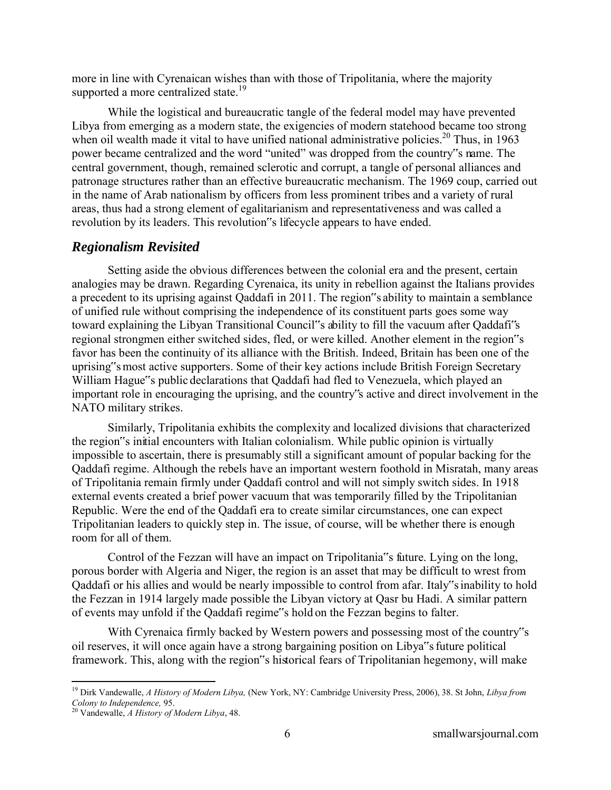more in line with Cyrenaican wishes than with those of Tripolitania, where the majority supported a more centralized state.<sup>19</sup>

While the logistical and bureaucratic tangle of the federal model may have prevented Libya from emerging as a modern state, the exigencies of modern statehood became too strong when oil wealth made it vital to have unified national administrative policies.<sup>20</sup> Thus, in 1963 power became centralized and the word "united" was dropped from the country"s name. The central government, though, remained sclerotic and corrupt, a tangle of personal alliances and patronage structures rather than an effective bureaucratic mechanism. The 1969 coup, carried out in the name of Arab nationalism by officers from less prominent tribes and a variety of rural areas, thus had a strong element of egalitarianism and representativeness and was called a revolution by its leaders. This revolution"s lifecycle appears to have ended.

## *Regionalism Revisited*

Setting aside the obvious differences between the colonial era and the present, certain analogies may be drawn. Regarding Cyrenaica, its unity in rebellion against the Italians provides a precedent to its uprising against Qaddafi in 2011. The region"s ability to maintain a semblance of unified rule without comprising the independence of its constituent parts goes some way toward explaining the Libyan Transitional Council"s ability to fill the vacuum after Qaddafi"s regional strongmen either switched sides, fled, or were killed. Another element in the region"s favor has been the continuity of its alliance with the British. Indeed, Britain has been one of the uprising"s most active supporters. Some of their key actions include British Foreign Secretary William Hague"s public declarations that Qaddafi had fled to Venezuela, which played an important role in encouraging the uprising, and the country"s active and direct involvement in the NATO military strikes.

Similarly, Tripolitania exhibits the complexity and localized divisions that characterized the region"s initial encounters with Italian colonialism. While public opinion is virtually impossible to ascertain, there is presumably still a significant amount of popular backing for the Qaddafi regime. Although the rebels have an important western foothold in Misratah, many areas of Tripolitania remain firmly under Qaddafi control and will not simply switch sides. In 1918 external events created a brief power vacuum that was temporarily filled by the Tripolitanian Republic. Were the end of the Qaddafi era to create similar circumstances, one can expect Tripolitanian leaders to quickly step in. The issue, of course, will be whether there is enough room for all of them.

Control of the Fezzan will have an impact on Tripolitania"s future. Lying on the long, porous border with Algeria and Niger, the region is an asset that may be difficult to wrest from Qaddafi or his allies and would be nearly impossible to control from afar. Italy"s inability to hold the Fezzan in 1914 largely made possible the Libyan victory at Qasr bu Hadi. A similar pattern of events may unfold if the Qaddafi regime"s hold on the Fezzan begins to falter.

With Cyrenaica firmly backed by Western powers and possessing most of the country"s oil reserves, it will once again have a strong bargaining position on Libya"s future political framework. This, along with the region"s historical fears of Tripolitanian hegemony, will make

 $\overline{a}$ <sup>19</sup> Dirk Vandewalle, *A History of Modern Libya,* (New York, NY: Cambridge University Press, 2006), 38. St John, *Libya from Colony to Independence,* 95.

<sup>20</sup> Vandewalle, *A History of Modern Libya*, 48.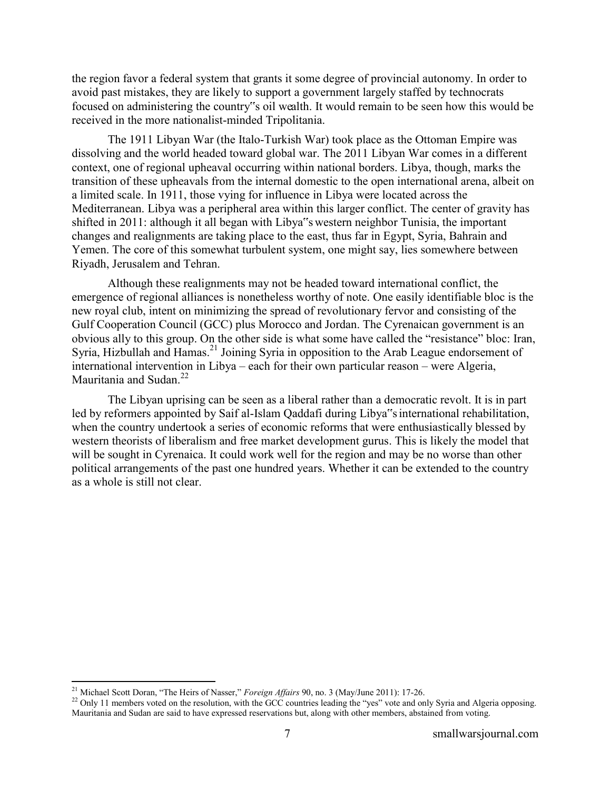the region favor a federal system that grants it some degree of provincial autonomy. In order to avoid past mistakes, they are likely to support a government largely staffed by technocrats focused on administering the country"s oil wealth. It would remain to be seen how this would be received in the more nationalist-minded Tripolitania.

The 1911 Libyan War (the Italo-Turkish War) took place as the Ottoman Empire was dissolving and the world headed toward global war. The 2011 Libyan War comes in a different context, one of regional upheaval occurring within national borders. Libya, though, marks the transition of these upheavals from the internal domestic to the open international arena, albeit on a limited scale. In 1911, those vying for influence in Libya were located across the Mediterranean. Libya was a peripheral area within this larger conflict. The center of gravity has shifted in 2011: although it all began with Libya"s western neighbor Tunisia, the important changes and realignments are taking place to the east, thus far in Egypt, Syria, Bahrain and Yemen. The core of this somewhat turbulent system, one might say, lies somewhere between Riyadh, Jerusalem and Tehran.

Although these realignments may not be headed toward international conflict, the emergence of regional alliances is nonetheless worthy of note. One easily identifiable bloc is the new royal club, intent on minimizing the spread of revolutionary fervor and consisting of the Gulf Cooperation Council (GCC) plus Morocco and Jordan. The Cyrenaican government is an obvious ally to this group. On the other side is what some have called the "resistance" bloc: Iran, Syria, Hizbullah and Hamas.<sup>21</sup> Joining Syria in opposition to the Arab League endorsement of international intervention in Libya – each for their own particular reason – were Algeria, Mauritania and Sudan.<sup>22</sup>

The Libyan uprising can be seen as a liberal rather than a democratic revolt. It is in part led by reformers appointed by Saif al-Islam Qaddafi during Libya"s international rehabilitation, when the country undertook a series of economic reforms that were enthusiastically blessed by western theorists of liberalism and free market development gurus. This is likely the model that will be sought in Cyrenaica. It could work well for the region and may be no worse than other political arrangements of the past one hundred years. Whether it can be extended to the country as a whole is still not clear.

<sup>21</sup> Michael Scott Doran, "The Heirs of Nasser," *Foreign Affairs* 90, no. 3 (May/June 2011): 17-26.

<sup>&</sup>lt;sup>22</sup> Only 11 members voted on the resolution, with the GCC countries leading the "yes" vote and only Syria and Algeria opposing. Mauritania and Sudan are said to have expressed reservations but, along with other members, abstained from voting.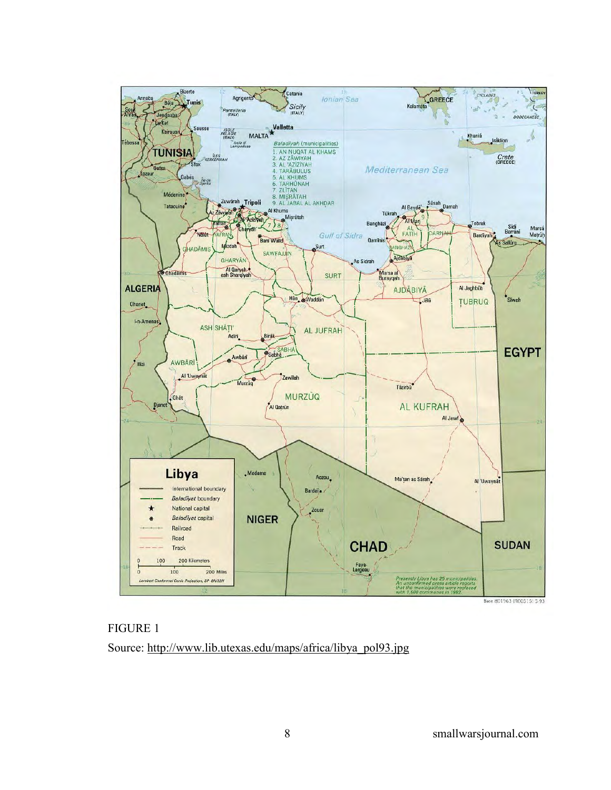



Source: http://www.lib.utexas.edu/maps/africa/libya\_pol93.jpg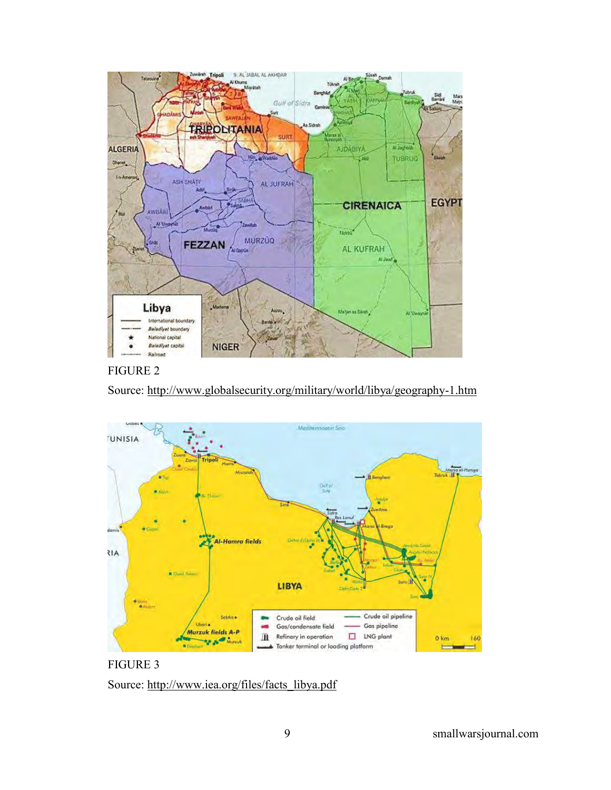

### FIGURE 2





FIGURE 3 Source: http://www.iea.org/files/facts\_libya.pdf